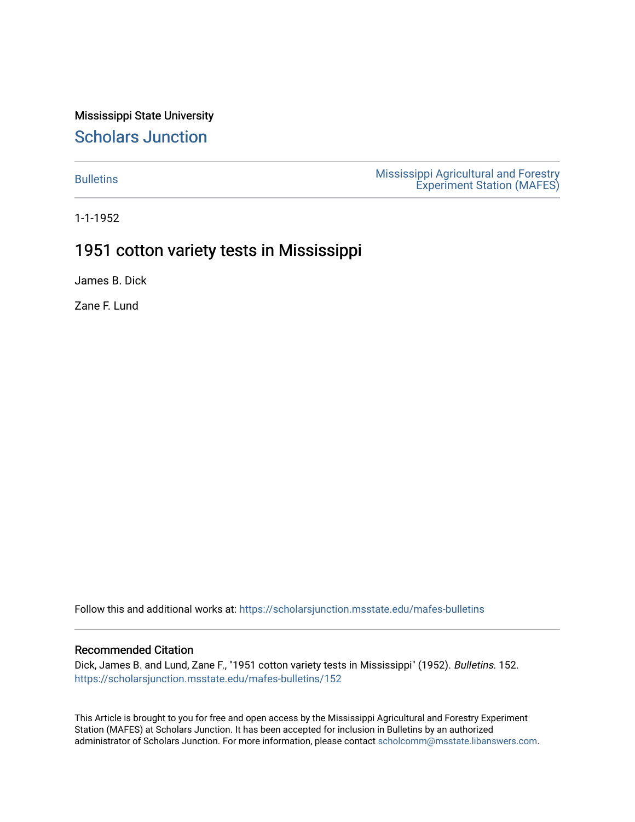Mississippi State University [Scholars Junction](https://scholarsjunction.msstate.edu/) 

[Bulletins](https://scholarsjunction.msstate.edu/mafes-bulletins) **Mississippi Agricultural and Forestry** [Experiment Station \(MAFES\)](https://scholarsjunction.msstate.edu/mafes) 

1-1-1952

### 1951 cotton variety tests in Mississippi

James B. Dick

Zane F. Lund

Follow this and additional works at: [https://scholarsjunction.msstate.edu/mafes-bulletins](https://scholarsjunction.msstate.edu/mafes-bulletins?utm_source=scholarsjunction.msstate.edu%2Fmafes-bulletins%2F152&utm_medium=PDF&utm_campaign=PDFCoverPages)

### Recommended Citation

Dick, James B. and Lund, Zane F., "1951 cotton variety tests in Mississippi" (1952). Bulletins. 152. [https://scholarsjunction.msstate.edu/mafes-bulletins/152](https://scholarsjunction.msstate.edu/mafes-bulletins/152?utm_source=scholarsjunction.msstate.edu%2Fmafes-bulletins%2F152&utm_medium=PDF&utm_campaign=PDFCoverPages) 

This Article is brought to you for free and open access by the Mississippi Agricultural and Forestry Experiment Station (MAFES) at Scholars Junction. It has been accepted for inclusion in Bulletins by an authorized administrator of Scholars Junction. For more information, please contact [scholcomm@msstate.libanswers.com](mailto:scholcomm@msstate.libanswers.com).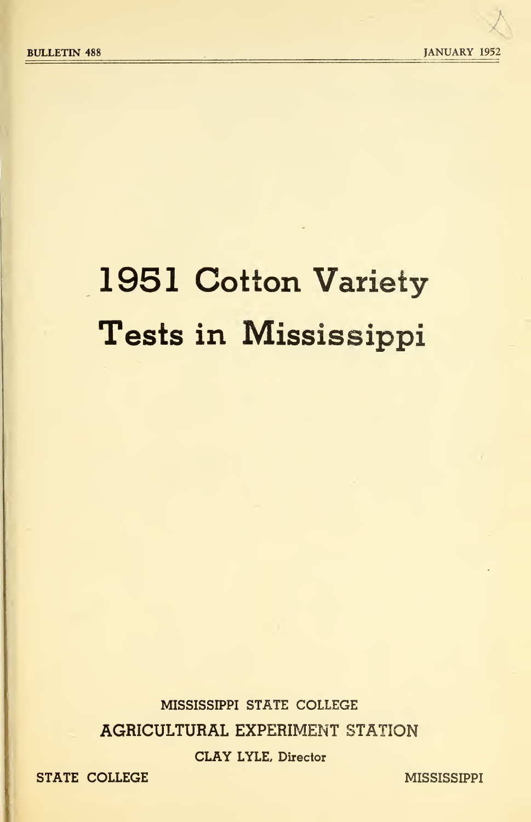# 1951 Cotton Variety Tests in Mississippi

MISSISSIPPI STATE COLLEGE AGRICULTURAL EXPERIMENT STATION CLAY LYLE, Director

STATE COLLEGE MISSISSIPPI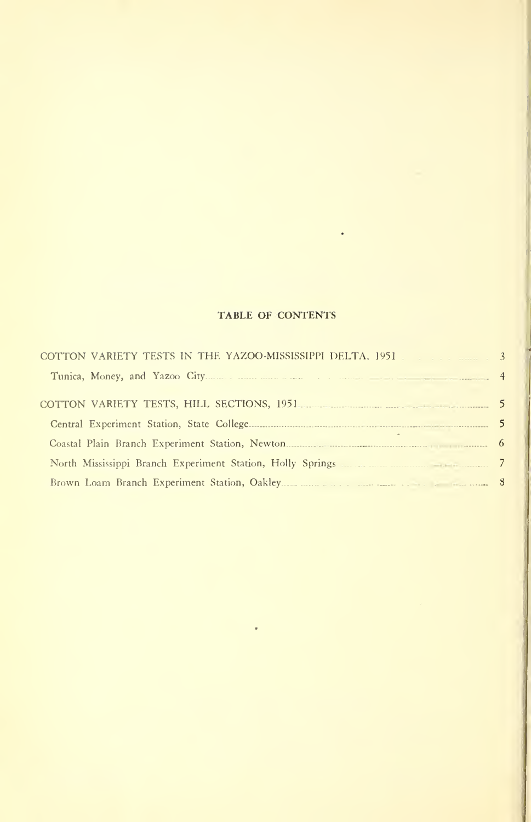### TABLE OF CONTENTS

| COTTON VARIETY TESTS IN THE YAZOO-MISSISSIPPI DELTA, 1951                   |  |
|-----------------------------------------------------------------------------|--|
|                                                                             |  |
| COTTON VARIETY TESTS, HILL SECTIONS, 1951 <b>CONTRACT CONTRACT SECTIONS</b> |  |
|                                                                             |  |
|                                                                             |  |
|                                                                             |  |
|                                                                             |  |
|                                                                             |  |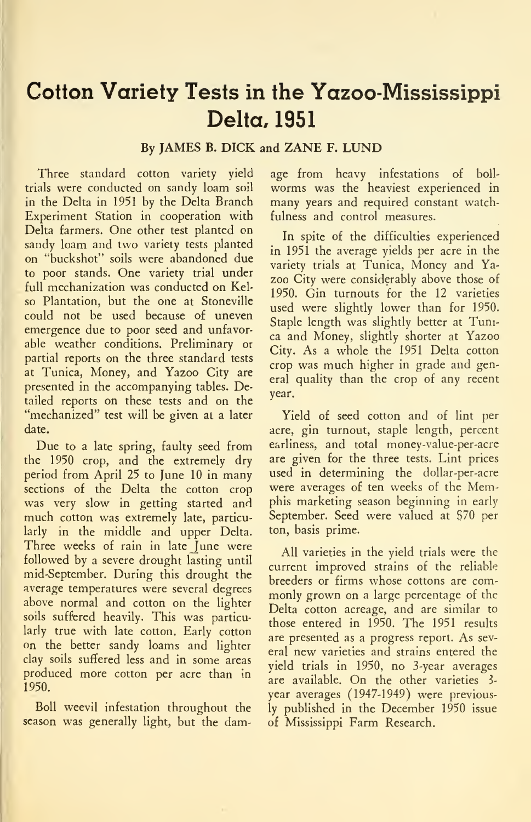## Cotton Variety Tests in the Yazoo-Mississippi Delta. 1951

### By JAMES B. DICK and ZANE F. LUND

Three standard cotton variety yield trials were conducted on sandy loam soil in the Delta in 1951 by the Delta Branch Experiment Station in cooperation with Delta farmers. One other test planted on sandy loam and two variety tests planted on "buckshot" soils were abandoned due to poor stands. One variety trial under full mechanization was conducted on Kelso Plantation, but the one at Stoneville could not be used because of uneven emergence due to poor seed and unfavorable weather conditions. Preliminary or partial reports on the three standard tests at Tunica, Money, and Yazoo City are presented in the accompanying tables. Detailed reports on these tests and on the "mechanized" test will be given at a later date.

Due to a late spring, faulty seed from the 1950 crop, and the extremely dry period from April 25 to June 10 in many sections of the Delta the cotton crop was very slow in getting started and much cotton was extremely late, particularly in the middle and upper Delta. Three weeks of rain in late June were followed by a severe drought lasting until mid-September. During this drought the average temperatures were several degrees above normal and cotton on the lighter soils suffered heavily. This was particularly true with late cotton. Early cotton on the better sandy loams and lighter clay soils suffered less and in some areas produced more cotton per acre than in 1950.

Boll weevil infestation throughout the season was generally light, but the damage from heavy infestations of boll worms was the heaviest experienced in many years and required constant watchfulness and control measures.

In spite of the difficulties experienced in 1951 the average yields per acre in the variety trials at Tunica, Money and Yazoo City were considerably above those of 1950. Gin turnouts for the 12 varieties used were slightly lower than for 1950. Staple length was slightly better at Tunica and Money, slightly shorter at Yazoo City. As a whole the 1951 Delta cotton crop was much higher in grade and general quality than the crop of any recent year.

Yield of seed cotton and of lint per acre, gin turnout, staple length, percent earliness, and total money-value-per-acre are given for the three tests. Lint prices used in determining the dollar-per-acre were averages of ten weeks of the Memphis marketing season beginning in early September. Seed were valued at \$70 per ton, basis prime.

All varieties in the yield trials were the current improved strains of the reliable breeders or firms whose cottons are com monly grown on a large percentage of the Delta cotton acreage, and are similar to those entered in 1950. The 1951 results are presented as a progress report. As several new varieties and strains entered the yield trials in 1950, no 3-year averages are available. On the other varieties 3year averages (1947-1949) were previously published in the December 1950 issue of Mississippi Farm Research.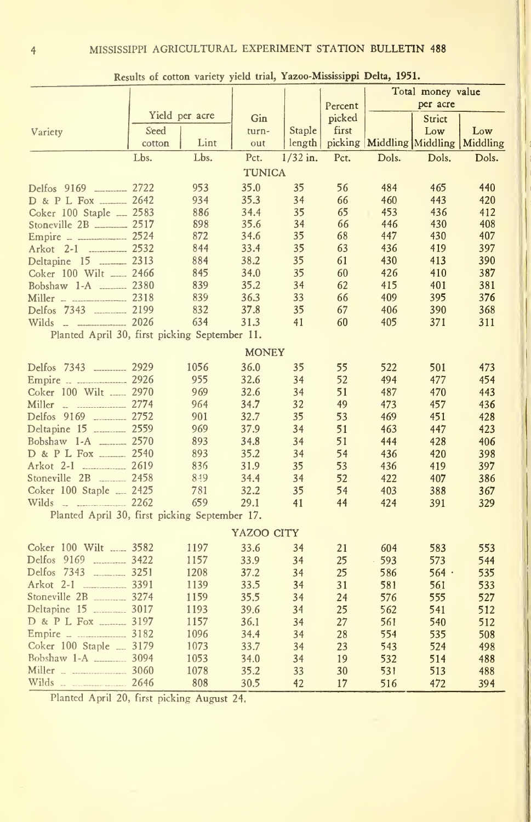|                                               | Results of contour variety |                | JECALE LESSAG |            |         |                                    | Total money value |       |
|-----------------------------------------------|----------------------------|----------------|---------------|------------|---------|------------------------------------|-------------------|-------|
|                                               |                            |                |               |            | Percent |                                    | per acre          |       |
|                                               |                            | Yield per acre | Gin           |            | picked  |                                    | Strict            |       |
| Variety                                       | Seed                       |                | turn-         | Staple     | first   |                                    | Low               | Low   |
|                                               | cotton                     | Lint           | out           | length     |         | picking Middling Middling Middling |                   |       |
|                                               | Lbs.                       | Lbs.           | Pct.          | $1/32$ in. | Pct.    | Dols.                              | Dols.             | Dols. |
|                                               |                            |                |               |            |         |                                    |                   |       |
|                                               |                            |                | <b>TUNICA</b> |            |         |                                    |                   |       |
| Delfos 9169 ________ 2722                     |                            | 953            | 35.0          | 35         | 56      | 484                                | 465               | 440   |
| D & P L Fox _______ 2642                      |                            | 934            | 35.3          | 34         | 66      | 460                                | 443               | 420   |
| Coker 100 Staple __ 2583                      |                            | 886            | 34.4          | 35         | 65      | 453                                | 436               | 412   |
| Stoneville 2B ________ 2517                   |                            | 898            | 35.6          | 34         | 66      | 446                                | 430               | 408   |
| Empire - - - - - 2524                         |                            | 872            | 34.6          | 35         | 68      | 447                                | 430               | 407   |
|                                               |                            | 844            | 33.4          | 35         | 63      | 436                                | 419               | 397   |
| Deltapine 15  2313                            |                            | 884            | 38.2          | 35         | 61      | 430                                | 413               | 390   |
| Coker 100 Wilt _____ 2466                     |                            | 845            | 34.0          | 35         | 60      | 426                                | 410               | 387   |
| Bobshaw 1-A  2380                             |                            | 839            | 35.2          | 34         | 62      | 415                                | 401               | 381   |
| Miller - ----------------- 2318               |                            | 839            | 36.3          | 33         | 66      | 409                                | 395               | 376   |
|                                               |                            | 832            | 37.8          | 35         | 67      | 406                                | 390               | 368   |
| Wilds _ _ _ _ _ _ 2026                        |                            | 634            | 31.3          | 41         | 60      | 405                                | 371               | 311   |
| Planted April 30, first picking September 11. |                            |                |               |            |         |                                    |                   |       |
|                                               |                            |                | <b>MONEY</b>  |            |         |                                    |                   |       |
| Delfos 7343 _________ 2929                    |                            | 1056           | 36.0          | 35         | 55      | 522                                | 501               | 473   |
| Empire   2926                                 |                            | 955            | 32.6          | 34         | 52      | 494                                | 477               | 454   |
| Coker 100 Wilt  2970                          |                            | 969            | 32.6          | 34         | 51      | 487                                | 470               | 443   |
| Miller - - - - - - - 2774                     |                            | 964            | 34.7          | 32         | 49      | 473                                | 457               | 436   |
| Delfos 9169  2752                             |                            | 901            | 32.7          | 35         | 53      | 469                                | 451               | 428   |
| Deltapine 15  2559                            |                            | 969            | 37.9          | 34         | 51      | 463                                | 447               | 423   |
| Bobshaw 1-A  2570                             |                            | 893            | 34.8          | 34         | 51      | 444                                | 428               | 406   |
| D & P L Fox  2540                             |                            | 893            | 35.2          | 34         | 54      | 436                                | 420               | 398   |
| Arkot 2-1  2619                               |                            | 836            | 31.9          | 35         | 53      | 436                                | 419               | 397   |
| Stoneville 2B _______ 2458                    |                            | 849            | 34.4          | 34         | 52      | 422                                | 407               | 386   |
| Coker 100 Staple  2425                        |                            | 781            | 32.2          | 35         | 54      | 403                                | 388               | 367   |
| Wilds<br>2262                                 |                            | 659            | 29.1          | 41         | 44      | 424                                | 391               | 329   |
| Planted April 30, first picking September 17. |                            |                |               |            |         |                                    |                   |       |
|                                               |                            |                | YAZOO CITY    |            |         |                                    |                   |       |
| Coker 100 Wilt  3582                          |                            | 1197           | 33.6          | 34         | 21      | 604                                | 583               | 553   |
| Delfos 9169 _________ 3422                    |                            | 1157           | 33.9          | 34         | 25      | 593                                | 573               | 544   |
| Delfos 7343 3251                              |                            | 1208           | 37.2          | 34         | 25      | 586                                | $564$ $\cdot$     | 535   |
| Arkot 2-1 3391                                |                            | 1139           | 33.5          | 34         | 31      | 581                                | 561               | 533   |
| Stoneville 2B ________ 3274                   |                            | 1159           | 35.5          | 34         | 24      | 576                                | 555               | 527   |
| Deltapine 15 ________ 3017                    |                            | 1193           | 39.6          | 34         | 25      | 562                                | 541               | 512   |
| D & P L Fox _______ 3197                      |                            | 1157           | 36.1          | 34         | 27      | 561                                | 540               | 512   |
| Empire _ _ _ _ _ _ _ _ 3182                   |                            | 1096           | 34.4          | 34         | 28      | 554                                | 535               | 508   |
| Coker 100 Staple  3179                        |                            | 1073           | 33.7          | 34         | 23      | 543                                | 524               | 498   |
| Bobshaw 1-A _________ 3094                    |                            | 1053           | 34.0          | 34         | 19      | 532                                | 514               | 488   |
|                                               |                            | 1078           | 35.2          | 33         | 30      | 531                                | 513               | 488   |
|                                               |                            | 808            | 30.5          | 42         | 17      | 516                                | 472               | 394   |
|                                               |                            |                |               |            |         |                                    |                   |       |

Results of cotton variety yield trial, Yazoo-Mississippi Delta, 1951.

Planted April 20, first picking August 24.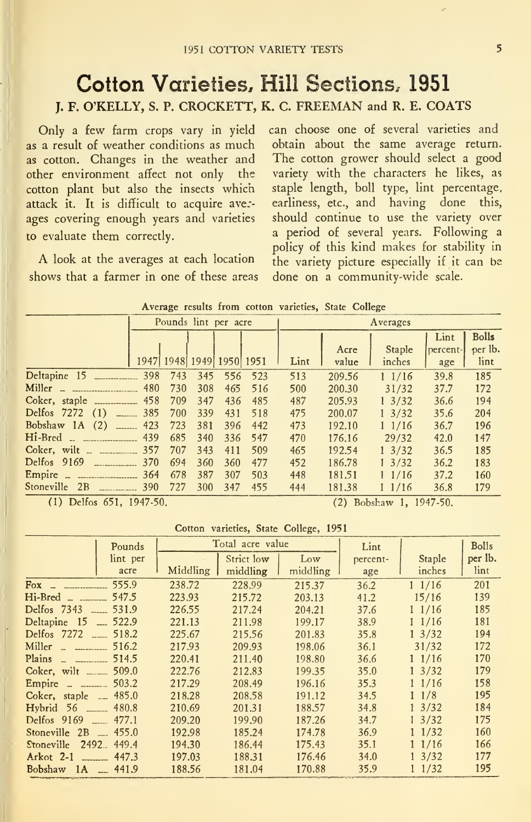### Cotton Varieties, Hill Sections. 1951 J. F. O'KELLY, S. P. CROCKETT, K. C. FREEMAN and R. E. COATS

Only a few farm crops vary in yield as a result of weather conditions as much as cotton. Changes in the weather and other environment affect not only the cotton plant but also the insects which attack it. It is difficult to acquire avezages covering enough years and varieties to evaluate them correctly.

A look at the averages at each location shows that a farmer in one of these areas can choose one of several varieties and obtain about the same average return. The cotton grower should select a good variety with the characters he likes, as staple length, boll type, lint percentage, earliness, etc., and having done this, should continue to use the variety over a period of several years. Following a policy of this kind makes for stability in the variety picture especially if it can be done on a community-wide scale.

|                                   |     |         | Pounds lint per acre     |         |     | Averages |        |                  |          |              |  |
|-----------------------------------|-----|---------|--------------------------|---------|-----|----------|--------|------------------|----------|--------------|--|
|                                   |     |         |                          |         |     |          |        |                  | Lint     | <b>Bolls</b> |  |
|                                   |     |         |                          |         |     |          | Acre   | Staple           | percent- | per lb.      |  |
|                                   |     |         | 1947 1948 1949 1950 1951 |         |     | Lint     | value  | inches           | age      | lint         |  |
| Deltapine 15                      |     | 398 743 |                          | 345 556 | 523 | 513      | 209.56 | 11/16            | 39.8     | 185          |  |
| Miller - ------------------------ | 480 | 730     | 308                      | 465     | 516 | 500      | 200.30 | 31/32            | 37.7     | 172          |  |
| Coker, staple _____________ 458   |     | 709     | 347                      | 436     | 485 | 487      | 205.93 | $1 \frac{3}{32}$ | 36.6     | 194          |  |
| Delfos $7272$ (1) ______ 385      |     | 700     | 339                      | 431     | 518 | 475      | 200.07 | $1 \frac{3}{32}$ | 35.6     | 204          |  |
| Bobshaw 1A (2) ______ 423 723     |     |         | 381                      | 396     | 442 | 473      | 192.10 | $1 \frac{1}{16}$ | 36.7     | 196          |  |
| Hi-Bred                           | 439 | 685     | 340                      | 336     | 547 | 470      | 176.16 | 29/32            | 42.0     | 147          |  |
|                                   | 357 | 707     | 343                      | 411     | 509 | 465      | 192.54 | $1 \frac{3}{32}$ | 36.5     | 185          |  |
| Delfos 9169<br>-----------------  | 370 | 694     | 360                      | 360     | 477 | 452      | 186.78 | $1 \frac{3}{32}$ | 36.2     | 183          |  |
| Empire - ---------------------    | 364 | 678     | 387                      | 307     | 503 | 448      | 181.51 | 11/16            | 37.2     | 160          |  |
| Stoneville 2B                     | 390 | 727     | 300                      | 347     | 455 | 444      | 181.38 | 11/16            | 36.8     | 179          |  |

Average results from cotton varieties, State College

(1) Delfos 651, 1947-50. (2) Bobshaw 1, 1947-50.

#### Cotton varieties. State College, 1951

|                                  | Pounds     |          | Total acre value |          | Lint     |                  | <b>Bolls</b> |
|----------------------------------|------------|----------|------------------|----------|----------|------------------|--------------|
|                                  | lint per   |          | Strict low       | Low      | percent- | Staple           | per lb.      |
|                                  | acre       | Middling | middling         | middling | age      | inches           | lint         |
| $Fox -$                          | 555.9      | 238.72   | 228.99           | 215.37   | 36.2     | 11/16            | 201          |
| $Hi-Bred$ _ ________             | 547.5      | 223.93   | 215.72           | 203.13   | 41.2     | 15/16            | 139          |
| Delfos 7343 ____ 531.9           |            | 226.55   | 217.24           | 204.21   | 37.6     | 11/16            | 185          |
| Deltapine 15                     | $-522.9$   | 221.13   | 211.98           | 199.17   | 38.9     | 11/16            | 181          |
| Delfos 7272 ___ 518.2            |            | 225.67   | 215.56           | 201.83   | 35.8     | $1 \frac{3}{32}$ | 194          |
| $\text{Miller}$ $\ldots$         | 516.2      | 217.93   | 209.93           | 198.06   | 36.1     | 31/32            | 172          |
| Plains $\overline{\phantom{a}1}$ | 514.5      | 220.41   | 211.40           | 198.80   | 36.6     | $1 \frac{1}{16}$ | 170          |
| Coker, wilt _____ 509.0          |            | 222.76   | 212.83           | 199.35   | 35.0     | $1 \frac{3}{32}$ | 179          |
| Empire _ ______ 503.2            |            | 217.29   | 208.49           | 196.16   | 35.3     | 11/16            | 158          |
| Coker, staple $-485.0$           |            | 218.28   | 208.58           | 191.12   | 34.5     | $1 \frac{1}{8}$  | 195          |
| Hybrid 56 _____ 480.8            |            | 210.69   | 201.31           | 188.57   | 34.8     | $1 \frac{3}{32}$ | 184          |
|                                  |            | 209.20   | 199.90           | 187.26   | 34.7     | $1 \frac{3}{32}$ | 175          |
| Stoneville $2B = 455.0$          |            | 192.98   | 185.24           | 174.78   | 36.9     | 11/32            | 160          |
| <b>Stoneville</b>                | 2492 449.4 | 194.30   | 186.44           | 175.43   | 35.1     | 11/16            | 166          |
| $Arkot 2-1$                      | 447.3      | 197.03   | 188.31           | 176.46   | 34.0     | $1 \frac{3}{32}$ | 177          |
| Bobshaw $1A = 441.9$             |            | 188.56   | 181.04           | 170.88   | 35.9     | $1 \frac{1}{32}$ | 195          |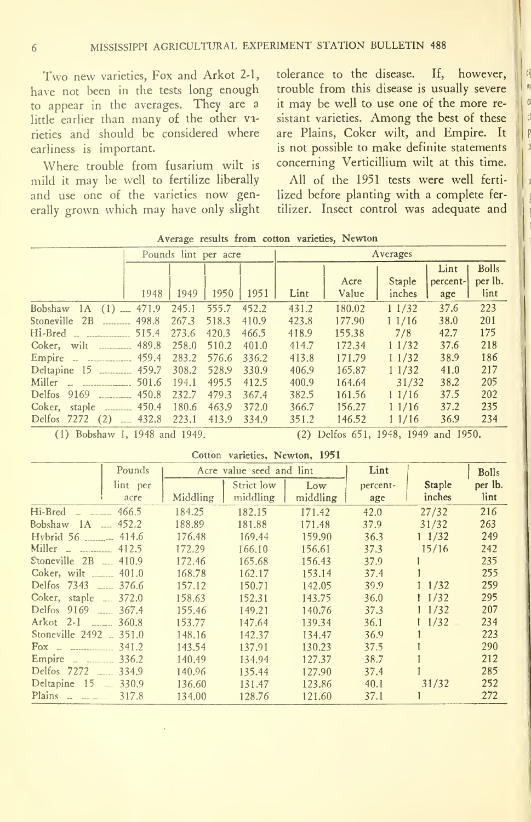Two new varieties, Fox and Arkot 2-1, have not been in the tests long enough to appear in the averages. They are a little earlier than many of the other varieties and should be considered where earliness is important.

Where trouble from fusarium wilt is mild it may be well to fertilize liberally and use one of the varieties now generally grown which may have only slight tolerance to the disease. If, however,  $\|\phi\|$ trouble from this disease is usually severe it may be well to use one of the more re sistant varieties. Among the best of these are Plains, Coker wilt, and Empire. It is not possible to make definite statements concerning Verticillium wilt at this time.

All of the 1951 tests were well ferti lized before planting with a complete fertilizer. Insect control was adequate and

|                              |       | Pounds lint per acre |       |       | Averages |               |                  |                         |                                 |
|------------------------------|-------|----------------------|-------|-------|----------|---------------|------------------|-------------------------|---------------------------------|
|                              | 1948  | 1949                 | 1950  | 1951  | Lint     | Acre<br>Value | Staple<br>inches | Lint<br>percent-<br>age | <b>Bolls</b><br>per lb.<br>lint |
| Bobshaw $1A(1)$ $$ 471.9     |       | 245.1                | 555.7 | 452.2 | 431.2    | 180.02        | 11/32            | 37.6                    | 223                             |
| Stoneville 2B  498.8         |       | 267.3                | 518.3 | 410.9 | 423.8    | 177.90        | 11/16            | 38.0                    | 201                             |
| $Hi-Bred$ _ _____________    | 515.4 | 273.6                | 420.3 | 466.5 | 418.9    | 155.38        | 7/8              | 42.7                    | 175                             |
| Coker, wilt 489.8            |       | 258.0                | 510.2 | 401.0 | 414.7    | 172.34        | 11/32            | 37.6                    | 218                             |
| Empire - - - - 459.4         |       | 283.2                | 576.6 | 336.2 | 413.8    | 171.79        | 11/32            | 38.9                    | 186                             |
|                              |       | 308.2                | 528.9 | 330.9 | 406.9    | 165.87        | 11/32            | 41.0                    | 217                             |
| $Miller - 1$                 | 501.6 | 194.1                | 495.5 | 412.5 | 400.9    | 164.64        | 31/32            | 38.2                    | 205                             |
| Delfos 9169 ________ 450.8   |       | 232.7                | 479.3 | 367.4 | 382.5    | 161.56        | 11/16            | 37.5                    | 202                             |
|                              |       | 180.6                | 463.9 | 372.0 | 366.7    | 156.27        | 11/16            | 37.2                    | 235                             |
| Delfos 7272 (2)  432.8 223.1 |       |                      | 413.9 | 334.9 | 351.2    | 146.52        | 11/16            | 36.9                    | 234                             |

Average results from cotton varieties, Newton

(1) Bobshaw 1, 1948 and

1949. (2) Delfos 651, 1948, 1949 and 1950.

Cotton varieties, Newton, 1951

| Pounds                                                            |          | Acre value seed and lint |          | Lint     |                  | <b>Bolls</b> |
|-------------------------------------------------------------------|----------|--------------------------|----------|----------|------------------|--------------|
| lint per                                                          |          | Strict low               | Low      | percent- | Staple           | per lb.      |
| acre                                                              | Middling | middling                 | middling | age      | inches           | lint         |
| $Hi-Bred$ _ _ 466.5                                               | 184.25   | 182.15                   | 171.42   | 42.0     | 27/32            | 216          |
| Bobshaw $1A$ $$ 452.2                                             | 188.89   | 181.88                   | 171.48   | 37.9     | 31/32            | 263          |
| Hybrid 56 _________ 414.6                                         | 176.48   | 169.44                   | 159.90   | 36.3     | $1 \frac{1}{32}$ | 249          |
| Miller $   -$ 412.5                                               | 172.29   | 166.10                   | 156.61   | 37.3     | 15/16            | 242          |
| Stoneville $2B$ $\ldots$ 410.9                                    | 172.46   | 165.68                   | 156.43   | 37.9     |                  | 235          |
| Coker, wilt  401.0                                                | 168.78   | 162.17                   | 153.14   | 37.4     |                  | 255          |
| Delfos 7343 ____ 376.6                                            | 157.12   | 150.71                   | 142.05   | 39.9     | 11/32            | 259          |
| Coker, staple  372.0                                              | 158.63   | 152.31                   | 143.75   | 36.0     | $1 \frac{1}{32}$ | 295          |
| Delfos 9169 ____ 367.4                                            | 155.46   | 149.21                   | 140.76   | 37.3     | $1 \frac{1}{32}$ | 207          |
| Arkot 2-1 _____ 360.8                                             | 153.77   | 147.64                   | 139.34   | 36.1     | $1 \frac{1}{32}$ | 234          |
| Stoneville 2492  351.0                                            | 148.16   | 142.37                   | 134.47   | 36.9     |                  | 223          |
| Fox $\sim$ 341.2                                                  | 143.54   | 137.91                   | 130.23   | 37.5     |                  | 290          |
| Empire _ _ _ _ _ 336.2                                            | 140.49   | 134.94                   | 127.37   | 38.7     |                  | 212          |
| Delfos 7272 334.9                                                 | 140.96   | 135.44                   | 127.90   | 37.4     |                  | 285          |
| Deltapine 15 330.9                                                | 136.60   | 131.47                   | 123.86   | 40.1     | 31/32            | 252          |
| Plains $\overline{\phantom{a}}$ $\overline{\phantom{a}}$<br>317.8 | 134.00   | 128.76                   | 121.60   | 37.1     |                  | 272          |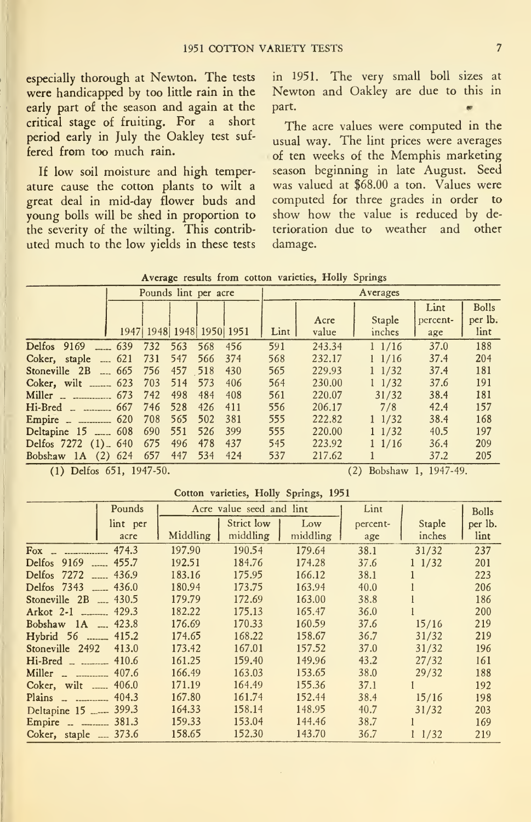especially thorough at Newton. The tests were handicapped by too little rain in the New<br>early part of the season and again at the part. early part of the season and again at the critical stage of fruiting. For a short period early in July the Oakley test suf fered from too much rain.

If low soil moisture and high temperature cause the cotton plants to wilt a great deal in mid-day flower buds and young bolls will be shed in proportion to the severity of the wilting. This contrib uted much to the low yields in these tests in 1951. The very small boll sizes at Newton and Oakley are due to this in part. •

The acre values were computed in the usual way. The lint prices were averages of ten weeks of the Memphis marketing season beginning in late August. Seed was valued at \$68.00 a ton. Values were computed for three grades in order to show how the value is reduced by deterioration due to weather and other damage.

|                                          |            | Pounds lint per acre             |         |     |     | Averages |               |                  |                         |                                 |
|------------------------------------------|------------|----------------------------------|---------|-----|-----|----------|---------------|------------------|-------------------------|---------------------------------|
|                                          |            | 1947   1948   1948   1950   1951 |         |     |     | Lint     | Acre<br>value | Staple<br>inches | Lint<br>percent-<br>age | <b>Bolls</b><br>per lb.<br>lint |
| Delfos 9169                              | $-$ 639    | 732                              | 563     | 568 | 456 | 591      | 243.34        | 11/16            | 37.0                    | 188                             |
| Coker, staple $\ldots$ 621               |            | 731                              | 547     | 566 | 374 | 568      | 232.17        | 11/16            | 37.4                    | 204                             |
| Stoneville 2B                            | $-665$ 756 |                                  | 457 518 |     | 430 | 565      | 229.93        | 11/32            | 37.4                    | 181                             |
| Coker, wilt _______ 623                  |            | 703                              | 514     | 573 | 406 | 564      | 230.00        | $1 \frac{1}{32}$ | 37.6                    | 191                             |
| $\text{Miller} = 673$                    |            | 742                              | 498     | 484 | 408 | 561      | 220.07        | 31/32            | 38.4                    | 181                             |
| $Hi-Bred$ _ _ _________                  | 667        | 746                              | 528     | 426 | 411 | 556      | 206.17        | 7/8              | 42.4                    | 157                             |
| Empire $\frac{1}{2}$ $\frac{1}{2}$ = 620 |            | 708                              | 565     | 502 | 381 | 555      | 222.82        | $1 \frac{1}{32}$ | 38.4                    | 168                             |
| Deltapine 15  608 690                    |            |                                  | 551     | 526 | 399 | 555      | 220,00        | $1 \frac{1}{32}$ | 40.5                    | 197                             |
| Delfos 7272 (1) 640                      |            | 675                              | 496     | 478 | 437 | 545      | 223.92        | 11/16            | 36.4                    | 209                             |
| Bobshaw $1A(2)$ 624                      |            | 657                              | 447     | 534 | 424 | 537      | 217.62        |                  | 37.2                    | 205                             |
|                                          |            |                                  |         |     |     |          |               |                  |                         |                                 |

| Average results from cotton varieties, Holly Springs |  |  |
|------------------------------------------------------|--|--|
|------------------------------------------------------|--|--|

(1) Delfos 651, 1947-50. (2) Bobshaw 1, 1947-49.

#### Cotton varieties, Holly Springs, 1951

| Pounds                             |          | Acre value seed and lint |          | Lint     |                  | <b>Bolls</b> |
|------------------------------------|----------|--------------------------|----------|----------|------------------|--------------|
| lint per                           |          | Strict low               | Low      | percent- | Staple           | per lb.      |
| acre                               | Middling | middling                 | middling | age      | inches           | lint         |
| 474.3                              | 197.90   | 190.54                   | 179.64   | 38.1     | 31/32            | 237          |
| Delfos 9169<br>$\frac{1}{2}$ 455.7 | 192.51   | 184.76                   | 174.28   | 37.6     | $1 \frac{1}{32}$ | 201          |
| Delfos 7272<br>$\frac{436.9}{ }$   | 183.16   | 175.95                   | 166.12   | 38.1     |                  | 223          |
|                                    | 180.94   | 173.75                   | 163.94   | 40.0     |                  | 206          |
| Stoneville $2B$ $\ldots$ 430.5     | 179.79   | 172.69                   | 163.00   | 38.8     |                  | 186          |
| Arkot 2-1 _______ 429.3            | 182.22   | 175.13                   | 165.47   | 36.0     |                  | 200          |
| Bobshaw 1A  423.8                  | 176.69   | 170.33                   | 160.59   | 37.6     | 15/16            | 219          |
| Hybrid 56  415.2                   | 174.65   | 168.22                   | 158.67   | 36.7     | 31/32            | 219          |
| Stoneville 2492<br>413.0           | 173.42   | 167.01                   | 157.52   | 37.0     | 31/32            | 196          |
| $Hi-Bred$ _ _______ 410.6          | 161.25   | 159.40                   | 149.96   | 43.2     | 27/32            | 161          |
| Miller $\sim$ $\sim$ 407.6         | 166.49   | 163.03                   | 153.65   | 38.0     | 29/32            | 188          |
| Coker, wilt  406.0                 | 171.19   | 164.49                   | 155.36   | 37.1     |                  | 192          |
| 404.3<br>$Plains$ $\ldots$         | 167.80   | 161.74                   | 152.44   | 38.4     | 15/16            | 198          |
| Deltapine 15  399.3                | 164.33   | 158.14                   | 148.95   | 40.7     | 31/32            | 203          |
| Empire _ _ _______ 381.3           | 159.33   | 153.04                   | 144.46   | 38.7     | L                | 169          |
| Coker, staple  373.6               | 158.65   | 152.30                   | 143.70   | 36.7     | $1 \frac{1}{32}$ | 219          |